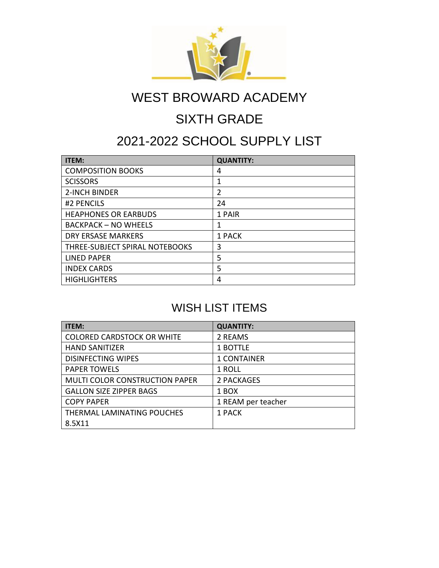

# WEST BROWARD ACADEMY

## SIXTH GRADE

### 2021-2022 SCHOOL SUPPLY LIST

| <b>ITEM:</b>                   | <b>QUANTITY:</b> |
|--------------------------------|------------------|
| <b>COMPOSITION BOOKS</b>       | 4                |
| <b>SCISSORS</b>                | 1                |
| 2-INCH BINDER                  | $\overline{2}$   |
| #2 PENCILS                     | 24               |
| <b>HEAPHONES OR EARBUDS</b>    | 1 PAIR           |
| <b>BACKPACK - NO WHEELS</b>    | 1                |
| <b>DRY ERSASE MARKERS</b>      | 1 PACK           |
| THREE-SUBJECT SPIRAL NOTEBOOKS | 3                |
| LINED PAPER                    | 5                |
| <b>INDEX CARDS</b>             | 5                |
| <b>HIGHLIGHTERS</b>            | 4                |

#### WISH LIST ITEMS

| <b>ITEM:</b>                      | <b>QUANTITY:</b>   |
|-----------------------------------|--------------------|
| <b>COLORED CARDSTOCK OR WHITE</b> | 2 REAMS            |
| <b>HAND SANITIZER</b>             | 1 BOTTLE           |
| <b>DISINFECTING WIPES</b>         | <b>1 CONTAINER</b> |
| <b>PAPER TOWELS</b>               | 1 ROLL             |
| MULTI COLOR CONSTRUCTION PAPER    | 2 PACKAGES         |
| <b>GALLON SIZE ZIPPER BAGS</b>    | 1 BOX              |
| <b>COPY PAPER</b>                 | 1 REAM per teacher |
| THERMAL LAMINATING POUCHES        | 1 PACK             |
| 8.5X11                            |                    |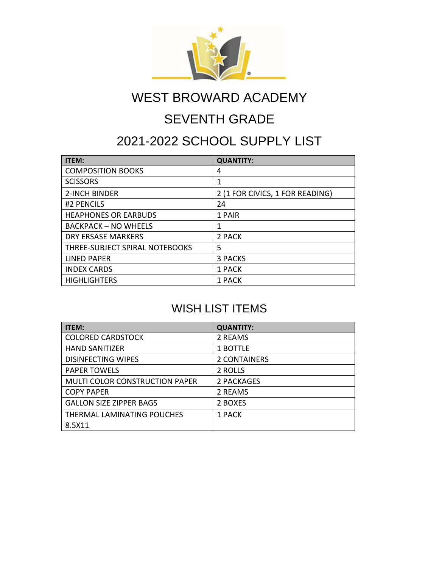

# WEST BROWARD ACADEMY

## SEVENTH GRADE

### 2021-2022 SCHOOL SUPPLY LIST

| <b>ITEM:</b>                   | <b>QUANTITY:</b>                |
|--------------------------------|---------------------------------|
| <b>COMPOSITION BOOKS</b>       | 4                               |
| <b>SCISSORS</b>                | 1                               |
| <b>2-INCH BINDER</b>           | 2 (1 FOR CIVICS, 1 FOR READING) |
| #2 PENCILS                     | 24                              |
| <b>HEAPHONES OR EARBUDS</b>    | 1 PAIR                          |
| <b>BACKPACK - NO WHEELS</b>    | 1                               |
| <b>DRY ERSASE MARKERS</b>      | 2 PACK                          |
| THREE-SUBJECT SPIRAL NOTEBOOKS | 5                               |
| LINED PAPER                    | 3 PACKS                         |
| <b>INDEX CARDS</b>             | 1 PACK                          |
| <b>HIGHLIGHTERS</b>            | 1 PACK                          |

#### WISH LIST ITEMS

| <b>ITEM:</b>                          | <b>QUANTITY:</b>    |
|---------------------------------------|---------------------|
| <b>COLORED CARDSTOCK</b>              | 2 REAMS             |
| <b>HAND SANITIZER</b>                 | 1 BOTTLE            |
| <b>DISINFECTING WIPES</b>             | <b>2 CONTAINERS</b> |
| <b>PAPER TOWELS</b>                   | 2 ROLLS             |
| <b>MULTI COLOR CONSTRUCTION PAPER</b> | 2 PACKAGES          |
| <b>COPY PAPER</b>                     | 2 REAMS             |
| <b>GALLON SIZE ZIPPER BAGS</b>        | 2 BOXES             |
| THERMAL LAMINATING POUCHES            | 1 PACK              |
| 8.5X11                                |                     |